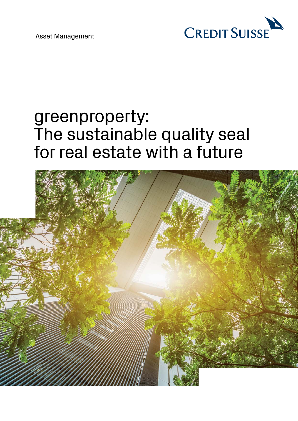

# greenproperty: The sustainable quality seal for real estate with a future

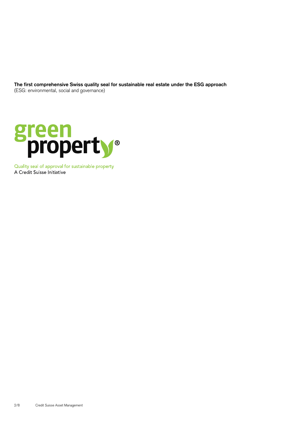**The first comprehensive Swiss quality seal for sustainable real estate under the ESG approach**  (ESG: environmental, social and governance)



Quality seal of approval for sustainable property A Credit Suisse Initiative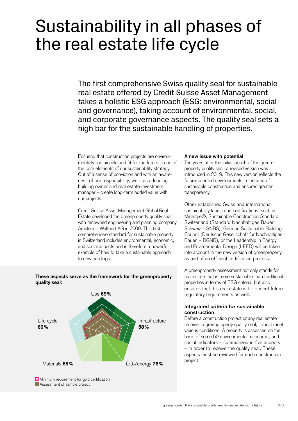# Sustainability in all phases of the real estate life cycle

The first comprehensive Swiss quality seal for sustainable real estate offered by Credit Suisse Asset Management takes a holistic ESG approach (ESG: environmental, social and governance), taking account of environmental, social, and corporate governance aspects. The quality seal sets a high bar for the sustainable handling of properties.

Ensuring that construction projects are environmentally sustainable and fit for the future is one of the core elements of our sustainability strategy. Out of a sense of conviction and with an awareness of our responsibility, we – as a leading building owner and real estate investment manager – create long-term added value with our projects.

Credit Suisse Asset Management Global Real Estate developed the greenproperty quality seal with renowned engineering and planning company Amstein + Walthert AG in 2009. This first comprehensive standard for sustainable property in Switzerland includes environmental, economic, and social aspects and is therefore a powerful example of how to take a sustainable approach to new buildings.

## **A new issue with potential**

Ten years after the initial launch of the greenproperty quality seal, a revised version was introduced in 2019. This new version reflects the future-oriented developments in the area of sustainable construction and ensures greater transparency.

Other established Swiss and international sustainability labels and certifications, such as Minergie®, Sustainable Construction Standard Switzerland (Standard Nachhaltiges Bauen Schweiz – SNBS), German Sustainable Building Council (Deutsche Gesellschaft für Nachhaltiges Bauen – DGNB), or the Leadership in Energy and Environmental Design (LEED) will be taken into account in the new version of greenproperty as part of an efficient certification process.

 properties in terms of ESG criteria, but also A greenproperty assessment not only stands for real estate that is more sustainable than traditional ensures that this real estate is fit to meet future regulatory requirements as well.

### **Integrated criteria for sustainable construction**

Before a construction project or any real estate receives a greenproperty quality seal, it must meet various conditions. A property is assessed on the basis of some 50 environmental, economic, and social indicators – summarized in five aspects – in order to receive the quality seal. These aspects must be reviewed for each construction project.

# **These aspects serve as the framework for the greenproperty quality seal:**



**E** Minimum requirement for gold certification Assessment of sample project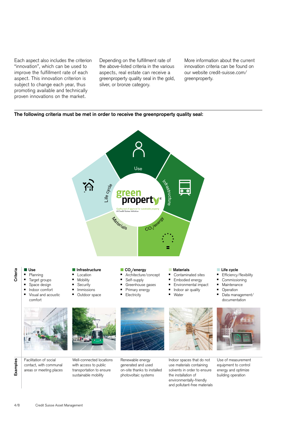Each aspect also includes the criterion "innovation", which can be used to improve the fulfillment rate of each aspect. This innovation criterion is subject to change each year, thus promoting available and technically proven innovations on the market.

the above-listed criteria in the various innovation criteria can be found on aspects, real estate can receive a our website credit-suisse.com/ greenproperty quality seal in the gold, [greenproperty.](https://www.credit-suisse.com/ch/en/asset-management/solutions-capabilities/real-estate-ch/sustainability.html?WT.i_short-url=%2Fgreenproperty&WT.i_target-url=%2Fch%2Fde%2Fasset-management%2Fsolutions-capabilities%2Freal-estate-ch%2Fsustainability.html) silver, or bronze category.

Depending on the fulfillment rate of More information about the current

### **The following criteria must be met in order to receive the greenproperty quality seal:**

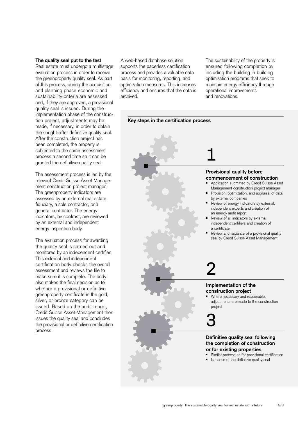#### **The quality seal put to the test**

Real estate must undergo a multistage evaluation process in order to receive the greenproperty quality seal. As part of this process, during the acquisition and planning phase economic and sustainability criteria are assessed and, if they are approved, a provisional quality seal is issued. During the implementation phase of the construction project, adjustments may be made, if necessary, in order to obtain the sought-after definitive quality seal. After the construction project has been completed, the property is subjected to the same assessment process a second time so it can be granted the definitive quality seal.

The assessment process is led by the relevant Credit Suisse Asset Management construction project manager. The greenproperty indicators are assessed by an external real estate fiduciary, a sole contractor, or a general contractor. The energy indicators, by contrast, are reviewed by an external and independent energy inspection body.

The evaluation process for awarding the quality seal is carried out and monitored by an independent certifier. This external and independent certification body checks the overall assessment and reviews the file to make sure it is complete. The body also makes the final decision as to whether a provisional or definitive greenproperty certificate in the gold, silver, or bronze category can be issued. Based on the audit report, Credit Suisse Asset Management then issues the quality seal and concludes the provisional or definitive certification process.

A web-based database solution supports the paperless certification process and provides a valuable data basis for monitoring, reporting, and optimization measures. This increases efficiency and ensures that the data is archived.

The sustainability of the property is ensured following completion by including the building in building optimization programs that seek to maintain energy efficiency through operational improvements and renovations.

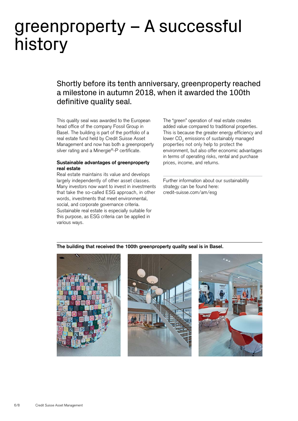# greenproperty – A successful history

Shortly before its tenth anniversary, greenproperty reached a milestone in autumn 2018, when it awarded the 100th definitive quality seal.

This quality seal was awarded to the European head office of the company Fossil Group in Basel. The building is part of the portfolio of a real estate fund held by Credit Suisse Asset Management and now has both a greenproperty silver rating and a Minergie®-P certificate.

#### **Sustainable advantages of greenproperty real estate**

Real estate maintains its value and develops largely independently of other asset classes. Many investors now want to invest in investments that take the so-called ESG approach, in other words, investments that meet environmental, social, and corporate governance criteria. Sustainable real estate is especially suitable for this purpose, as ESG criteria can be applied in various ways.

The "green" operation of real estate creates added value compared to traditional properties. This is because the greater energy efficiency and lower  $\mathsf{CO}_2$  emissions of sustainably managed properties not only help to protect the environment, but also offer economic advantages in terms of operating risks, rental and purchase prices, income, and returns.

Further information about our sustainability strategy can be found here: [credit-suisse.com/am/esg](https://www.credit-suisse.com/ch/en/asset-management/esg-investing.html?WT.i_short-url=%2Fesg&WT.i_target-url=%2Fch%2Fde%2Fasset-management%2Fesg-investing.html)

## **The building that received the 100th greenproperty quality seal is in Basel.**





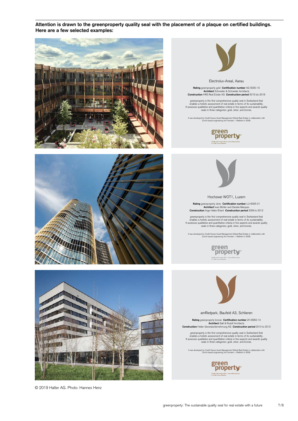**Attention is drawn to the greenproperty quality seal with the placement of a plaque on certified buildings. Here are a few selected examples:** 







© 2019 Halter AG. Photo: Hannes Henz

Electrolux-Areal, Aarau

**Rating** greenproperty gold **Certification number** AG-5000-10 **Architect** Schneider & Schneider Architects **Construction** HRS Real Estate AG **Construction period** 2015 bis 2018

greenproperty is the first comprehensive quality seal in Switzerland that<br>enables a holistic assessment of real estate in terms of its sustainability.<br>It assesses qualitative and quantitative criteria in five aspects and a

It was developed by Credit Suisse Asset Management Global Real Estate in collaboration with Zurich-based engineering firm Amstein + Walthert in 2008.





Hochzwei WOT1, Luzern

**Rating** greenproperty silver **Certification number** LU-6005-01 **Architect** Iwan Bühler and Daniele Marques **Construction** Arge Halter/Eberli **Construction period** 2009 to 2012

greenproperty is the first comprehensive quality seal in Switzerland that<br>enables a holistic assessment of real estate in terms of its sustainability.<br>It assesses qualitative and quantitative criteria in five aspects and a

It was developed by Credit Suisse Asset Management Global Real Estate in collaboration with Zurich-based engineering firm Amstein + Walthert in 2008.





amRietpark, Baufeld A3, Schlieren

**Rating** greenproperty bronze **Certification number** ZH-8952-14 **Architect** Galli & Rudolf Architects **Construction** Halter Generalunternehmung AG **Construction period** 2010 to 2012

greenproperty is the first comprehensive quality seal in Switzerland that<br>enables a holistic assessment of real estate in terms of its sustainability.<br>It assesses qualitative and quantitative criteria in five aspects and a

It was developed by Credit Suisse Asset Management Global Real Estate in collaboration with Zurich-based engineering firm Amstein + Walthert in 2008.